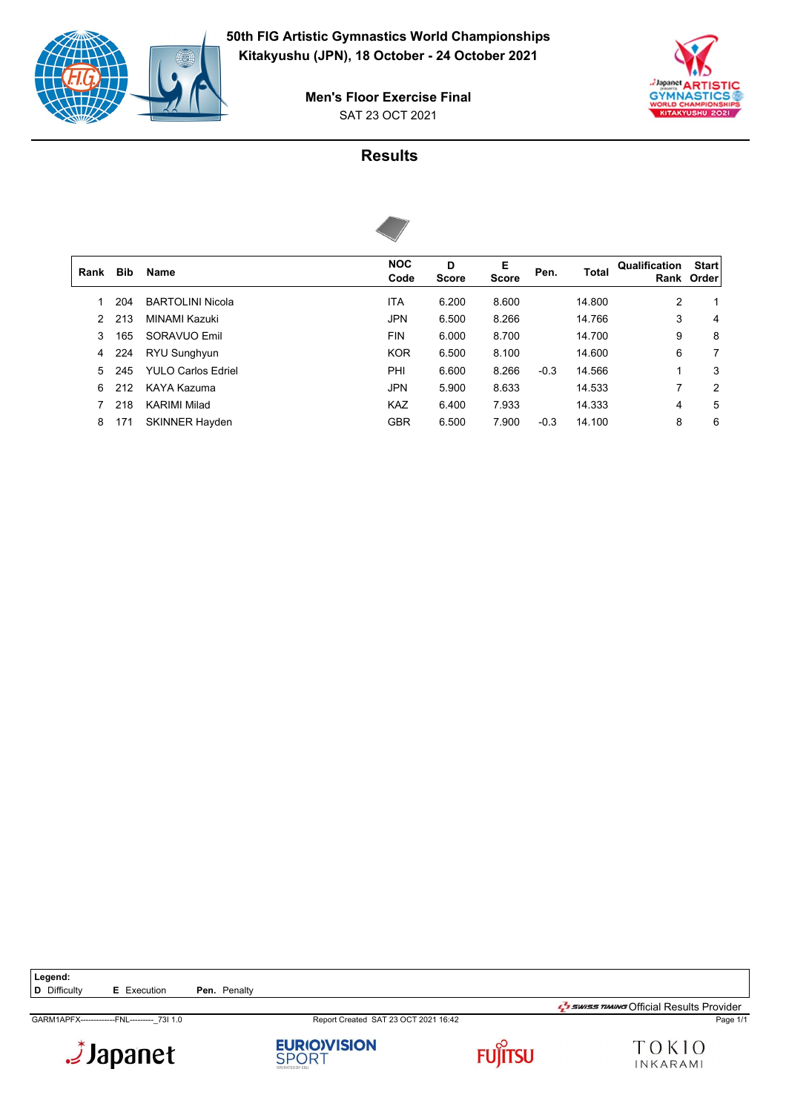



SAT 23 OCT 2021 **Men's Floor Exercise Final**

### **Results**



| Rank | <b>Bib</b> | Name                      | <b>NOC</b><br>Code | D<br><b>Score</b> | E<br><b>Score</b> | Pen.   | Total  | Qualification | <b>Start</b><br>Rank Order |
|------|------------|---------------------------|--------------------|-------------------|-------------------|--------|--------|---------------|----------------------------|
|      | 204        | <b>BARTOLINI Nicola</b>   | <b>ITA</b>         | 6.200             | 8.600             |        | 14.800 | 2             | 1                          |
| 2    | 213        | MINAMI Kazuki             | <b>JPN</b>         | 6.500             | 8.266             |        | 14.766 | 3             | 4                          |
| 3    | 165        | SORAVUO Emil              | <b>FIN</b>         | 6.000             | 8.700             |        | 14.700 | 9             | 8                          |
| 4    | 224        | RYU Sunghyun              | <b>KOR</b>         | 6.500             | 8.100             |        | 14.600 | 6             | 7                          |
| 5.   | 245        | <b>YULO Carlos Edriel</b> | PHI                | 6.600             | 8.266             | $-0.3$ | 14.566 | 1             | 3                          |
| 6    | 212        | KAYA Kazuma               | <b>JPN</b>         | 5.900             | 8.633             |        | 14.533 | 7             | 2                          |
|      | 218        | <b>KARIMI Milad</b>       | <b>KAZ</b>         | 6.400             | 7.933             |        | 14.333 | 4             | 5                          |
| 8    | 171        | <b>SKINNER Hayden</b>     | <b>GBR</b>         | 6.500             | 7.900             | $-0.3$ | 14.100 | 8             | 6                          |
|      |            |                           |                    |                   |                   |        |        |               |                            |

Legend:<br>**D** Difficulty **E** Execution **Pen.** Penalty

Japanet.





GARM1APFX-------------FNL---------\_73I 1.0 Report Created SAT 23 OCT 2021 16:42 Page 1/1  $\frac{1}{2}$ swiss TIMING Official Results Provider

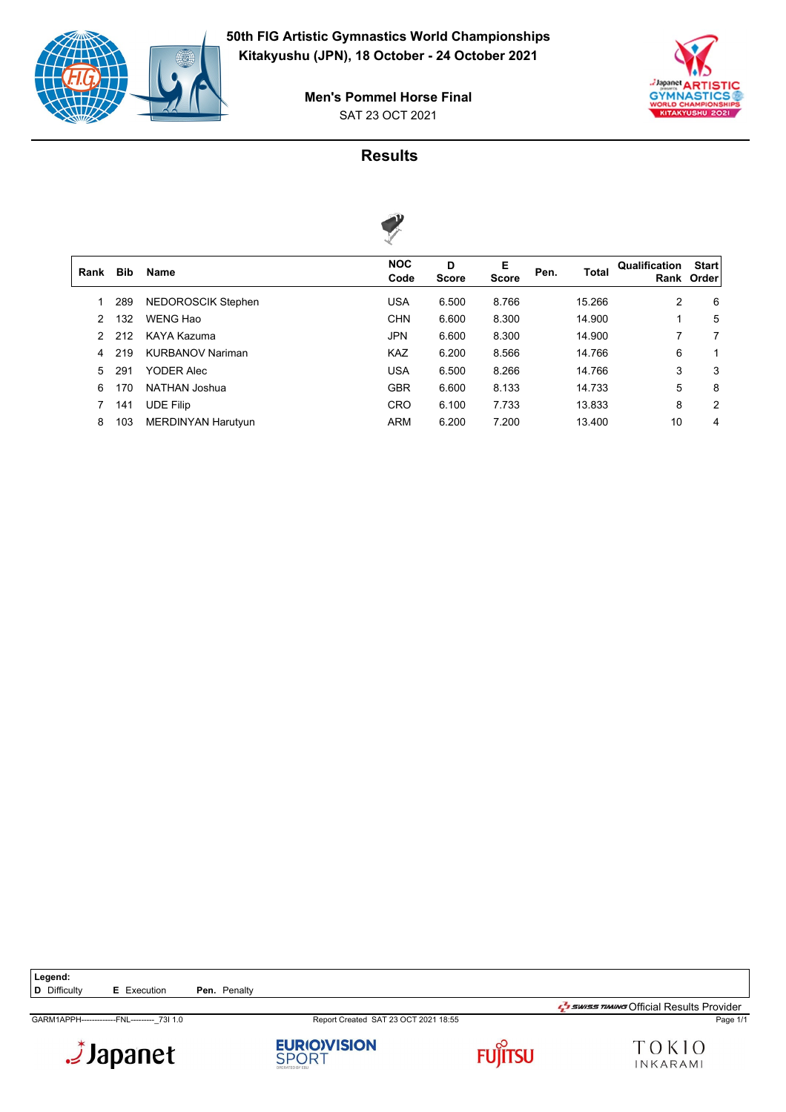



SAT 23 OCT 2021 **Men's Pommel Horse Final**

# **Results**



|      |            |                           | $\sim$             |                   |                   |      |              |               |                            |
|------|------------|---------------------------|--------------------|-------------------|-------------------|------|--------------|---------------|----------------------------|
| Rank | <b>Bib</b> | <b>Name</b>               | <b>NOC</b><br>Code | D<br><b>Score</b> | Е<br><b>Score</b> | Pen. | <b>Total</b> | Qualification | <b>Start</b><br>Rank Order |
|      | 289        | NEDOROSCIK Stephen        | <b>USA</b>         | 6.500             | 8.766             |      | 15.266       | 2             | 6                          |
| 2    | 132        | WENG Hao                  | <b>CHN</b>         | 6.600             | 8.300             |      | 14.900       |               | 5                          |
| 2    | 212        | KAYA Kazuma               | <b>JPN</b>         | 6.600             | 8.300             |      | 14.900       | 7             | 7                          |
| 4    | 219        | <b>KURBANOV Nariman</b>   | <b>KAZ</b>         | 6.200             | 8.566             |      | 14.766       | 6             | 1                          |
| 5.   | 291        | <b>YODER Alec</b>         | <b>USA</b>         | 6.500             | 8.266             |      | 14.766       | 3             | 3                          |
| 6    | 170        | NATHAN Joshua             | <b>GBR</b>         | 6.600             | 8.133             |      | 14.733       | 5             | 8                          |
|      | 141        | <b>UDE Filip</b>          | <b>CRO</b>         | 6.100             | 7.733             |      | 13.833       | 8             | 2                          |
| 8    | 103        | <b>MERDINYAN Harutyun</b> | <b>ARM</b>         | 6.200             | 7.200             |      | 13.400       | 10            | 4                          |
|      |            |                           |                    |                   |                   |      |              |               |                            |

Legend:<br>**D** Difficulty **E** Execution **Pen.** Penalty

Japanet.

**EURIO)VISION**<br>SPORT





 $\frac{1}{2}$ swiss TIMING Official Results Provider

GARM1APPH-------------FNL---------\_73I 1.0 Report Created SAT 23 OCT 2021 18:55 Page 1/1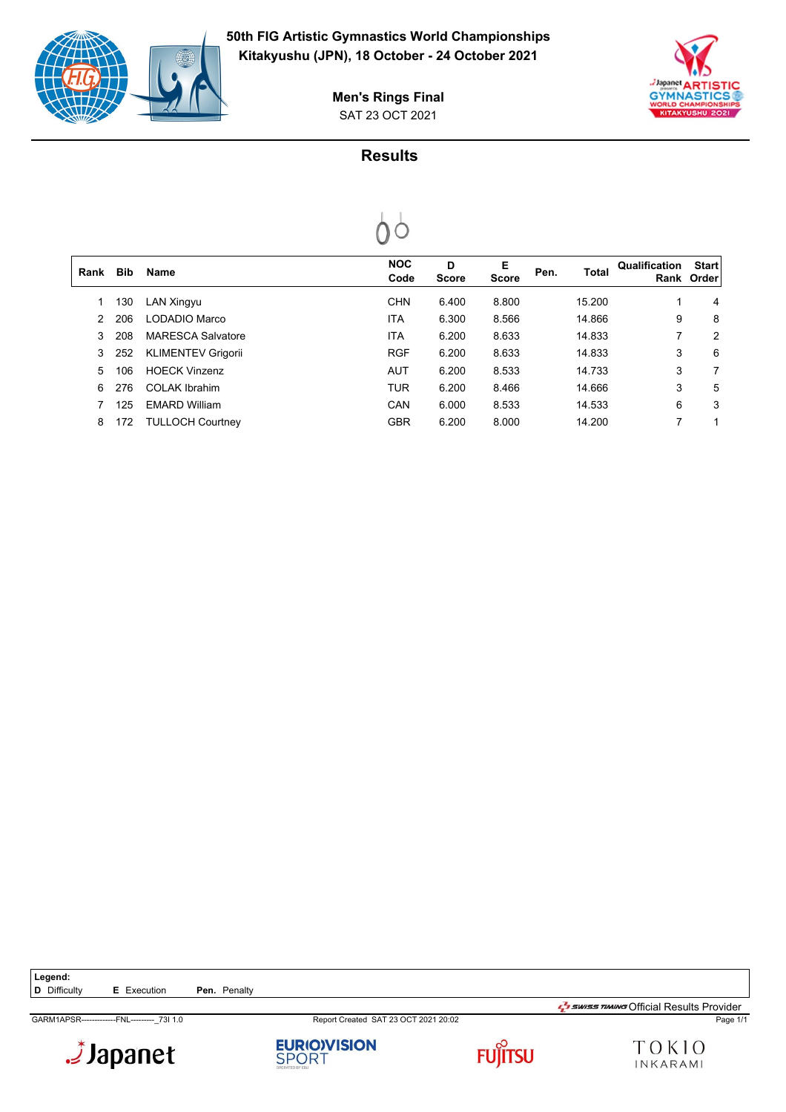



SAT 23 OCT 2021 **Men's Rings Final**

# **Results**



| Rank          | <b>Bib</b> | <b>Name</b>               | <b>NOC</b><br>Code | D<br><b>Score</b> | Е<br><b>Score</b> | Pen. | <b>Total</b> | Qualification | <b>Start</b><br>Rank Order |
|---------------|------------|---------------------------|--------------------|-------------------|-------------------|------|--------------|---------------|----------------------------|
|               | 130        | LAN Xingyu                | <b>CHN</b>         | 6.400             | 8.800             |      | 15.200       | 1             | 4                          |
| $\mathcal{P}$ | 206        | LODADIO Marco             | ITA                | 6.300             | 8.566             |      | 14.866       | 9             | 8                          |
| 3             | 208        | <b>MARESCA Salvatore</b>  | ITA                | 6.200             | 8.633             |      | 14.833       | 7             | 2                          |
| 3             | 252        | <b>KLIMENTEV Grigorii</b> | <b>RGF</b>         | 6.200             | 8.633             |      | 14.833       | 3             | 6                          |
| 5.            | 106        | <b>HOFCK Vinzenz</b>      | <b>AUT</b>         | 6.200             | 8.533             |      | 14.733       | 3             | 7                          |
| 6             | 276        | <b>COLAK Ibrahim</b>      | <b>TUR</b>         | 6.200             | 8.466             |      | 14.666       | 3             | 5                          |
|               | 125        | <b>FMARD William</b>      | CAN                | 6.000             | 8.533             |      | 14.533       | 6             | 3                          |
| 8             | 172        | <b>TULLOCH Courtney</b>   | <b>GBR</b>         | 6.200             | 8.000             |      | 14.200       | 7             |                            |
|               |            |                           |                    |                   |                   |      |              |               |                            |

Legend:<br>**D** Difficulty **E** Execution **Pen.** Penalty

Japanet.

**EURIO)VISION**<br>SPORT



GARM1APSR-------------FNL---------\_73I 1.0 Report Created SAT 23 OCT 2021 20:02 Page 1/1  $\frac{1}{2}$ swiss TIMING Official Results Provider

TOKIO INKARAMI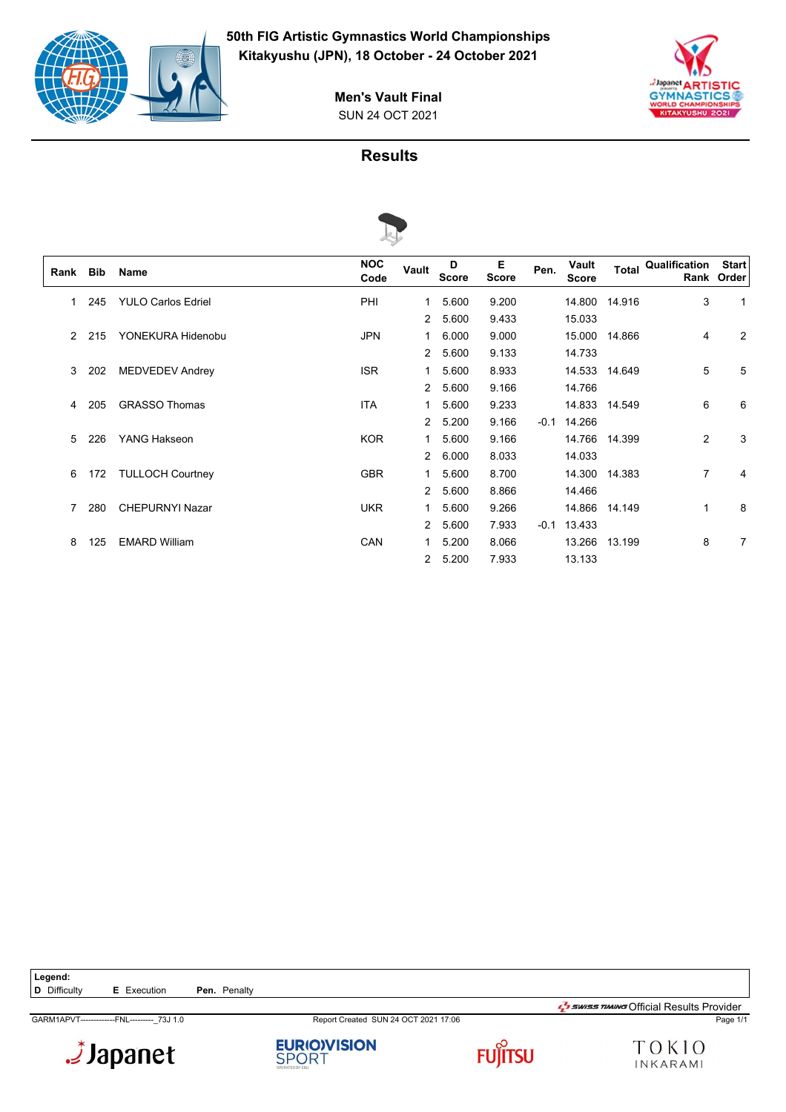



SUN 24 OCT 2021 **Men's Vault Final**

### **Results**



| Rank | Bib | Name                      | <b>NOC</b><br>Code | Vault                | D<br><b>Score</b> | Е<br><b>Score</b> | Pen.   | Vault<br><b>Score</b> |               | <b>Total Qualification</b> | <b>Start</b><br>Rank Order |
|------|-----|---------------------------|--------------------|----------------------|-------------------|-------------------|--------|-----------------------|---------------|----------------------------|----------------------------|
|      | 245 | <b>YULO Carlos Edriel</b> | PHI                | 1                    | 5.600             | 9.200             |        |                       | 14.800 14.916 | 3                          | 1                          |
|      |     |                           |                    | $\overline{2}$       | 5.600             | 9.433             |        | 15.033                |               |                            |                            |
| 2    | 215 | YONEKURA Hidenobu         | <b>JPN</b>         | 1                    | 6.000             | 9.000             |        | 15.000                | 14.866        | 4                          | 2                          |
|      |     |                           |                    | $\overline{2}$       | 5.600             | 9.133             |        | 14.733                |               |                            |                            |
| 3    | 202 | <b>MEDVEDEV Andrey</b>    | <b>ISR</b>         | 1.                   | 5.600             | 8.933             |        |                       | 14.533 14.649 | 5                          | 5                          |
|      |     |                           |                    | $\mathbf{2}^{\circ}$ | 5.600             | 9.166             |        | 14.766                |               |                            |                            |
| 4    | 205 | <b>GRASSO Thomas</b>      | <b>ITA</b>         | 1.                   | 5.600             | 9.233             |        |                       | 14.833 14.549 | 6                          | 6                          |
|      |     |                           |                    |                      | 2 5.200           | 9.166             | $-0.1$ | 14.266                |               |                            |                            |
| 5.   | 226 | YANG Hakseon              | <b>KOR</b>         |                      | 1 5.600           | 9.166             |        |                       | 14.766 14.399 | 2                          | 3                          |
|      |     |                           |                    |                      | 2 6.000           | 8.033             |        | 14.033                |               |                            |                            |
| 6    | 172 | <b>TULLOCH Courtney</b>   | <b>GBR</b>         | 1.                   | 5.600             | 8.700             |        |                       | 14.300 14.383 | $\overline{7}$             | 4                          |
|      |     |                           |                    |                      | 2 5.600           | 8.866             |        | 14.466                |               |                            |                            |
| 7    | 280 | <b>CHEPURNYI Nazar</b>    | <b>UKR</b>         | 1.                   | 5.600             | 9.266             |        |                       | 14.866 14.149 | 1                          | 8                          |
|      |     |                           |                    | $\overline{2}$       | 5.600             | 7.933             | $-0.1$ | 13.433                |               |                            |                            |
| 8    | 125 | <b>EMARD William</b>      | <b>CAN</b>         | 1.                   | 5.200             | 8.066             |        |                       | 13.266 13.199 | 8                          | 7                          |
|      |     |                           |                    |                      | 2 5.200           | 7.933             |        | 13.133                |               |                            |                            |

Legend:<br>**D** Difficulty **E** Execution **Pen.** Penalty

Japanet.



GARM1APVT-------------FNL---------\_73J 1.0 Report Created SUN 24 OCT 2021 17:06 Page 1/1





 $\frac{1}{2}$ swiss TIMING Official Results Provider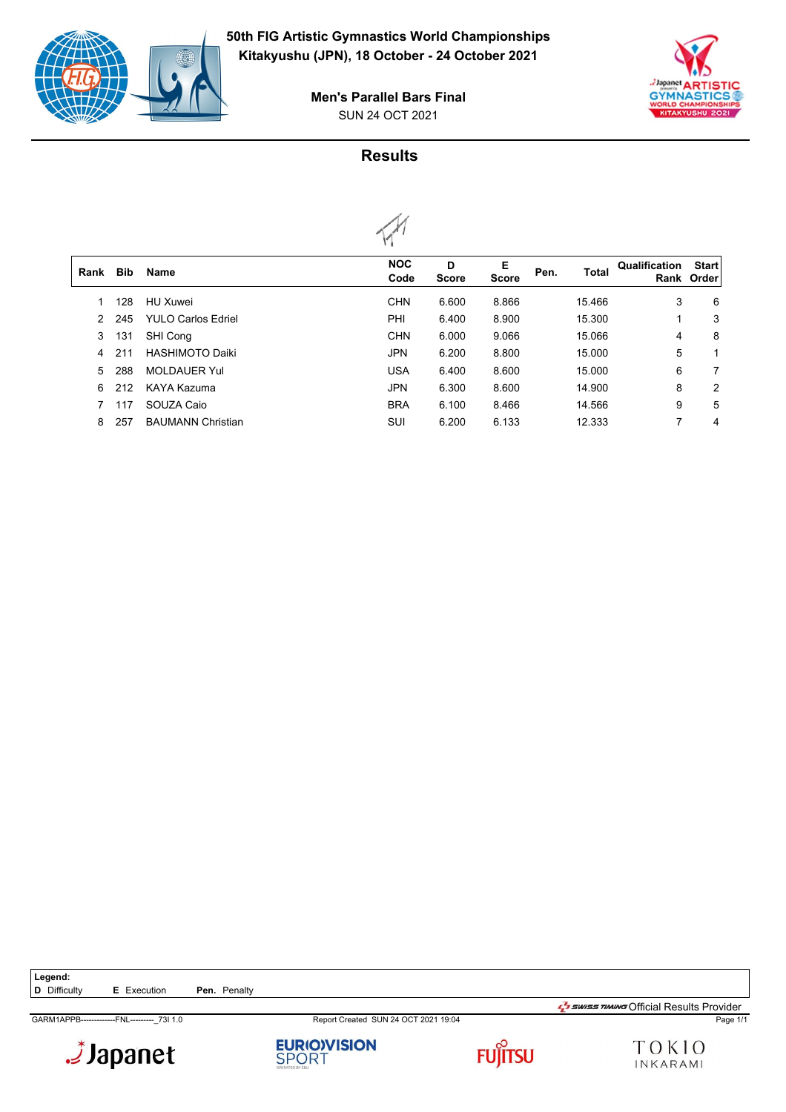



#### SUN 24 OCT 2021 **Men's Parallel Bars Final**

# **Results**



|               |            |                           | $\cdots$           |                   |                   |      |              |               |                            |
|---------------|------------|---------------------------|--------------------|-------------------|-------------------|------|--------------|---------------|----------------------------|
| Rank          | <b>Bib</b> | <b>Name</b>               | <b>NOC</b><br>Code | D<br><b>Score</b> | Е<br><b>Score</b> | Pen. | <b>Total</b> | Qualification | <b>Start</b><br>Rank Order |
|               | 128        | HU Xuwei                  | <b>CHN</b>         | 6.600             | 8.866             |      | 15.466       | 3             | 6                          |
| $\mathcal{P}$ | 245        | <b>YULO Carlos Edriel</b> | PHI                | 6.400             | 8.900             |      | 15.300       |               | 3                          |
| 3             | 131        | SHI Cong                  | <b>CHN</b>         | 6.000             | 9.066             |      | 15.066       | 4             | 8                          |
| 4             | 211        | <b>HASHIMOTO Daiki</b>    | <b>JPN</b>         | 6.200             | 8.800             |      | 15.000       | 5             |                            |
| 5             | 288        | <b>MOLDAUER Yul</b>       | <b>USA</b>         | 6.400             | 8.600             |      | 15.000       | 6             | 7                          |
| 6             | 212        | KAYA Kazuma               | <b>JPN</b>         | 6.300             | 8.600             |      | 14.900       | 8             | 2                          |
|               | 117        | SOUZA Caio                | <b>BRA</b>         | 6.100             | 8.466             |      | 14.566       | 9             | 5                          |
| 8             | 257        | <b>BAUMANN Christian</b>  | SUI                | 6.200             | 6.133             |      | 12.333       | 7             | 4                          |
|               |            |                           |                    |                   |                   |      |              |               |                            |

Legend:<br>**D** Difficulty **E** Execution **Pen.** Penalty

GARM1APPB-------------FNL---------\_73I 1.0 Report Created SUN 24 OCT 2021 19:04 Page 1/1







TOKIO INKARAMI

 $\frac{1}{2}$ swiss TIMING Official Results Provider